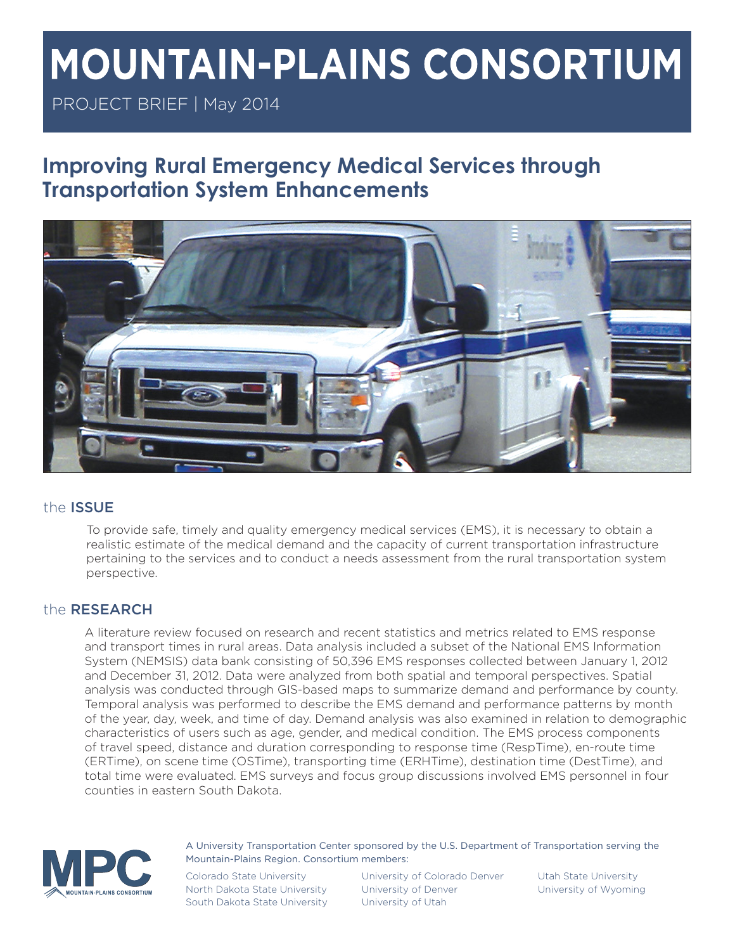# **MOUNTAIN-PLAINS CONSORTIUM**

PROJECT BRIEF | May 2014

# **Improving Rural Emergency Medical Services through Transportation System Enhancements**



# the ISSUE

To provide safe, timely and quality emergency medical services (EMS), it is necessary to obtain a realistic estimate of the medical demand and the capacity of current transportation infrastructure pertaining to the services and to conduct a needs assessment from the rural transportation system perspective.

# the RESEARCH

A literature review focused on research and recent statistics and metrics related to EMS response and transport times in rural areas. Data analysis included a subset of the National EMS Information System (NEMSIS) data bank consisting of 50,396 EMS responses collected between January 1, 2012 and December 31, 2012. Data were analyzed from both spatial and temporal perspectives. Spatial analysis was conducted through GIS-based maps to summarize demand and performance by county. Temporal analysis was performed to describe the EMS demand and performance patterns by month of the year, day, week, and time of day. Demand analysis was also examined in relation to demographic characteristics of users such as age, gender, and medical condition. The EMS process components of travel speed, distance and duration corresponding to response time (RespTime), en-route time (ERTime), on scene time (OSTime), transporting time (ERHTime), destination time (DestTime), and total time were evaluated. EMS surveys and focus group discussions involved EMS personnel in four counties in eastern South Dakota.



A University Transportation Center sponsored by the U.S. Department of Transportation serving the Mountain-Plains Region. Consortium members:

North Dakota State University University of Denver View University of Wyoming South Dakota State University University of Utah

Colorado State University University of Colorado Denver Utah State University